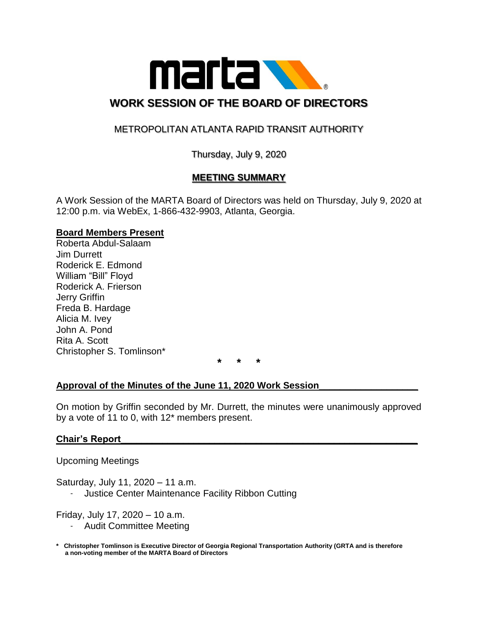

# METROPOLITAN ATLANTA RAPID TRANSIT AUTHORITY

Thursday, July 9, 2020

## **MEETING SUMMARY**

A Work Session of the MARTA Board of Directors was held on Thursday, July 9, 2020 at 12:00 p.m. via WebEx, 1-866-432-9903, Atlanta, Georgia.

#### **Board Members Present**

Roberta Abdul-Salaam Jim Durrett Roderick E. Edmond William "Bill" Floyd Roderick A. Frierson Jerry Griffin Freda B. Hardage Alicia M. Ivey John A. Pond Rita A. Scott Christopher S. Tomlinson\*

**\* \* \***

## **Approval of the Minutes of the June 11, 2020 Work Session\_\_\_\_\_\_\_\_\_\_\_\_\_\_\_\_\_\_\_**

On motion by Griffin seconded by Mr. Durrett, the minutes were unanimously approved by a vote of 11 to 0, with 12\* members present.

## **Chair's Report\_\_\_\_\_\_\_\_\_\_\_\_\_\_\_\_\_\_\_\_\_\_\_\_\_\_\_\_\_\_\_\_\_\_\_\_\_\_\_\_\_\_\_\_\_\_\_\_\_\_\_\_\_\_\_\_\_**

Upcoming Meetings

Saturday, July 11, 2020 – 11 a.m.

- Justice Center Maintenance Facility Ribbon Cutting

Friday, July 17, 2020 – 10 a.m.

- Audit Committee Meeting
- **\* Christopher Tomlinson is Executive Director of Georgia Regional Transportation Authority (GRTA and is therefore a non-voting member of the MARTA Board of Directors**